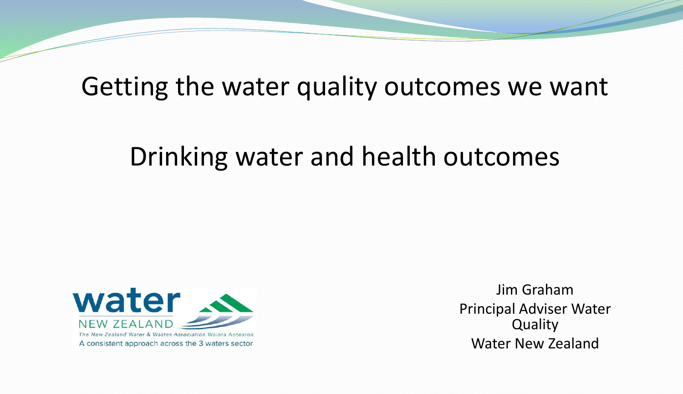## Getting the water quality outcomes we want

## Drinking water and health outcomes



Jim Graham Principal Adviser Water Quality Water New Zealand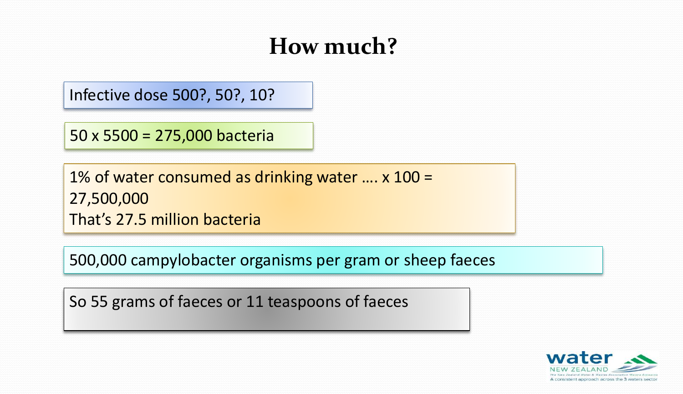## **How much?**

Infective dose 500?, 50?, 10?

50 x 5500 = 275,000 bacteria

1% of water consumed as drinking water …. x 100 = 27,500,000 That's 27.5 million bacteria

500,000 campylobacter organisms per gram or sheep faeces

So 55 grams of faeces or 11 teaspoons of faeces

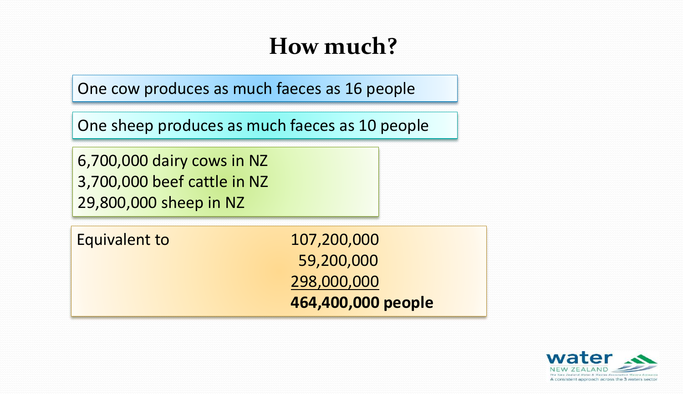## **How much?**

One cow produces as much faeces as 16 people

One sheep produces as much faeces as 10 people

6,700,000 dairy cows in NZ 3,700,000 beef cattle in NZ 29,800,000 sheep in NZ

Equivalent to 107,200,000

59,200,000 298,000,000 **464,400,000 people**

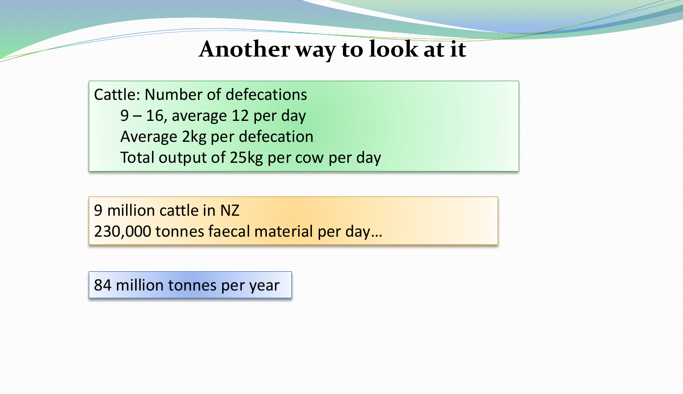#### **Another way to look at it**

Cattle: Number of defecations 9 – 16, average 12 per day Average 2kg per defecation Total output of 25kg per cow per day

9 million cattle in NZ 230,000 tonnes faecal material per day…

84 million tonnes per year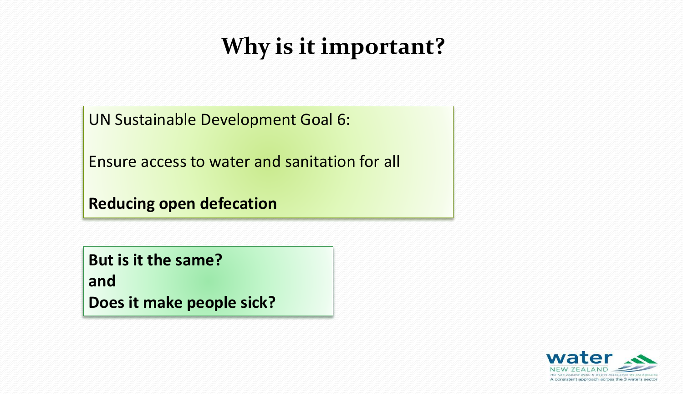## **Why is it important?**

UN Sustainable Development Goal 6:

Ensure access to water and sanitation for all

**Reducing open defecation**

**But is it the same? and Does it make people sick?**

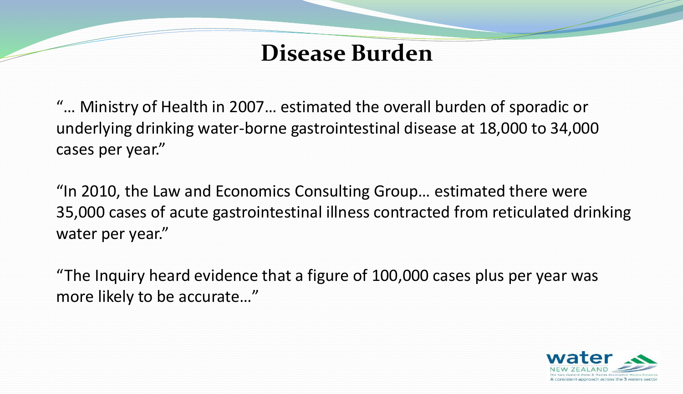## **Disease Burden**

"… Ministry of Health in 2007… estimated the overall burden of sporadic or underlying drinking water-borne gastrointestinal disease at 18,000 to 34,000 cases per year."

"In 2010, the Law and Economics Consulting Group… estimated there were 35,000 cases of acute gastrointestinal illness contracted from reticulated drinking water per year."

"The Inquiry heard evidence that a figure of 100,000 cases plus per year was more likely to be accurate…"

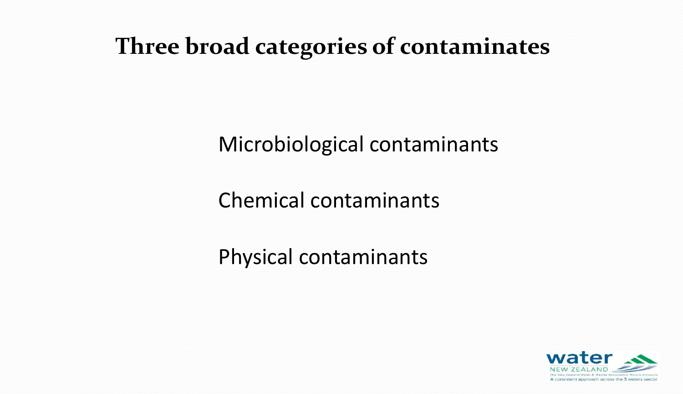#### **Three broad categories of contaminates**

#### Microbiological contaminants

Chemical contaminants

Physical contaminants

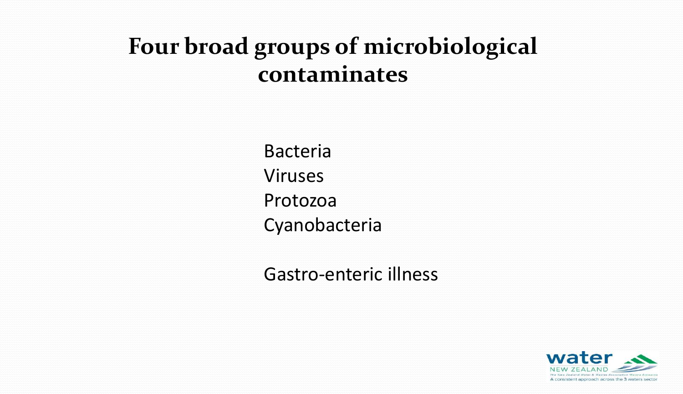## **Four broad groups of microbiological contaminates**

Bacteria Viruses Protozoa Cyanobacteria

Gastro-enteric illness

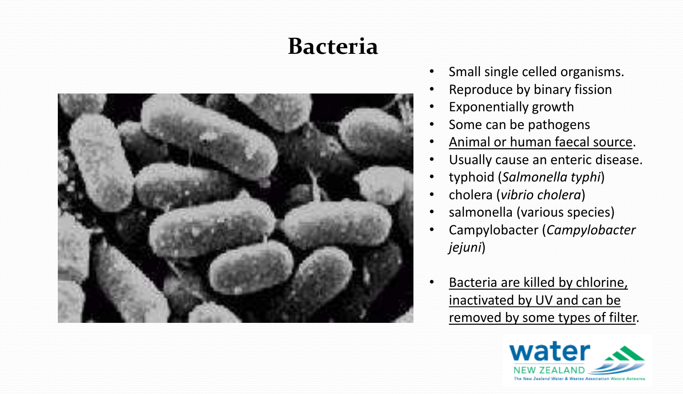## **Bacteria**



- Small single celled organisms.
- Reproduce by binary fission
- Exponentially growth
- Some can be pathogens
- Animal or human faecal source.
- Usually cause an enteric disease.
- typhoid (*Salmonella typhi*)
- cholera (*vibrio cholera*)
- salmonella (various species)
- Campylobacter (*Campylobacter jejuni*)
- Bacteria are killed by chlorine, inactivated by UV and can be removed by some types of filter.

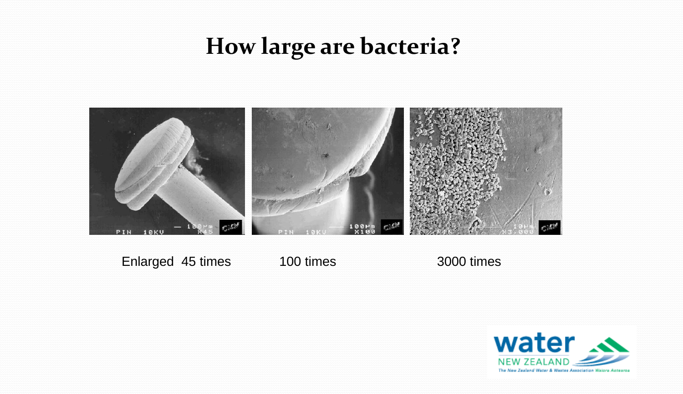## **How large are bacteria?**



Enlarged 45 times 100 times 3000 times

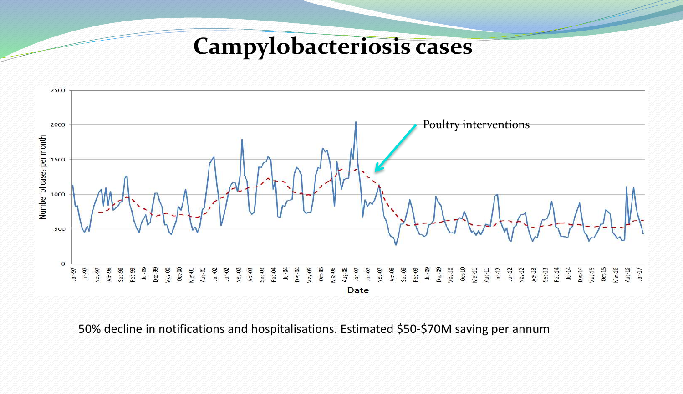**Campylobacteriosis cases**



50% decline in notifications and hospitalisations. Estimated \$50-\$70M saving per annum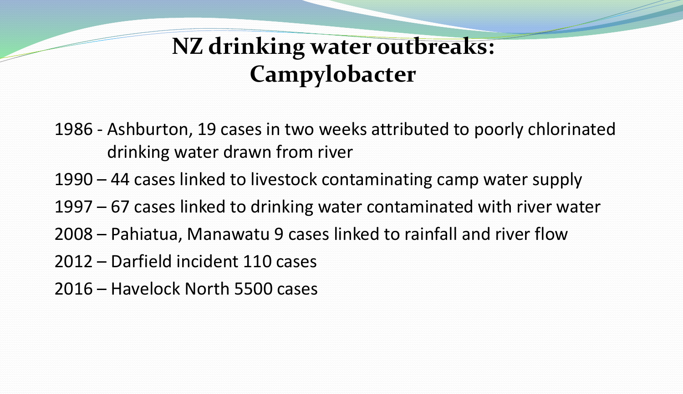## **NZ drinking water outbreaks: Campylobacter**

1986 - Ashburton, 19 cases in two weeks attributed to poorly chlorinated drinking water drawn from river

- 1990 44 cases linked to livestock contaminating camp water supply
- 1997 67 cases linked to drinking water contaminated with river water
- 2008 Pahiatua, Manawatu 9 cases linked to rainfall and river flow
- 2012 Darfield incident 110 cases
- 2016 Havelock North 5500 cases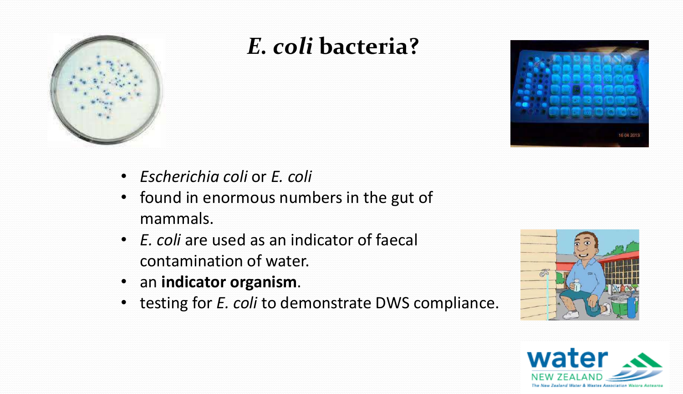

## *E. coli* **bacteria?**



- *Escherichia coli* or *E. coli*
- found in enormous numbers in the gut of mammals.
- *E. coli* are used as an indicator of faecal contamination of water.
- an **indicator organism**.
- testing for *E. coli* to demonstrate DWS compliance.



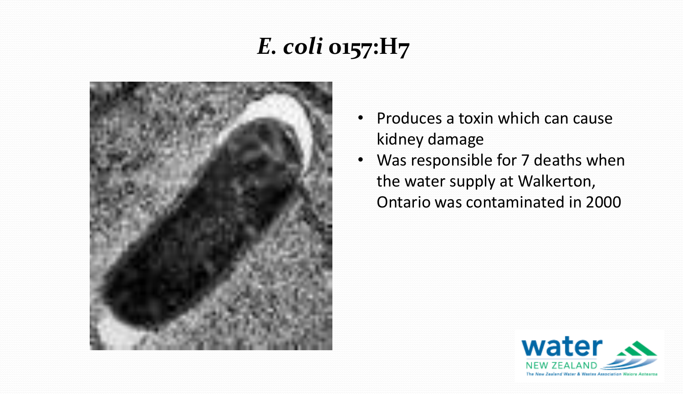## *E. coli* **0157:H7**



- Produces a toxin which can cause kidney damage
- Was responsible for 7 deaths when the water supply at Walkerton, Ontario was contaminated in 2000

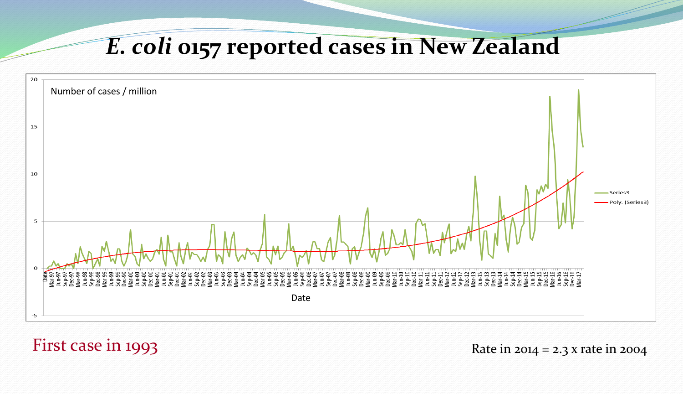#### *E. coli* **0157 reported cases in New Zealand**



#### First case in 1993  $\frac{1}{2}$  Rate in 2014 = 2.3 x rate in 2004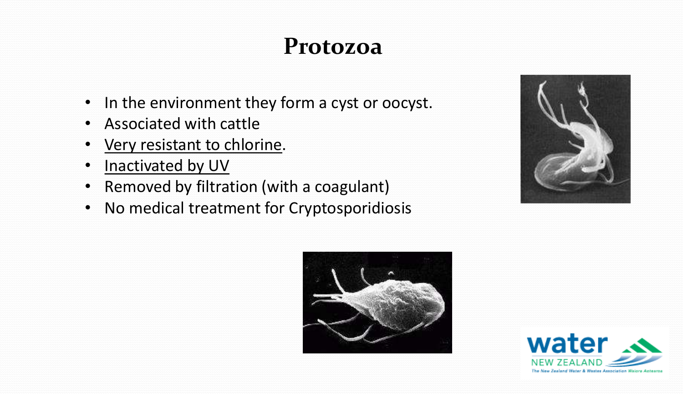#### **Protozoa**

- In the environment they form a cyst or oocyst.
- Associated with cattle
- Very resistant to chlorine.
- Inactivated by UV
- Removed by filtration (with a coagulant)
- No medical treatment for Cryptosporidiosis





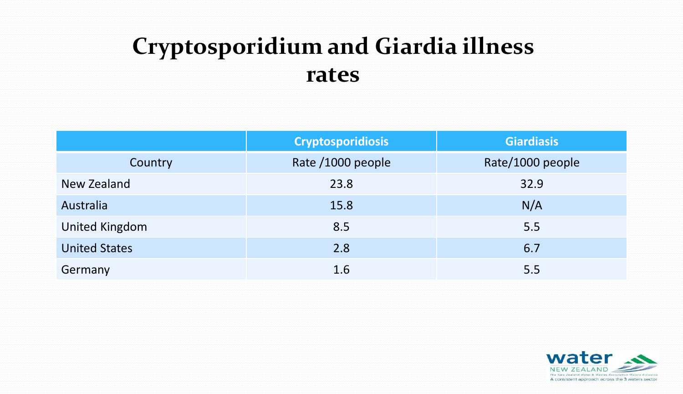## **Cryptosporidium and Giardia illness rates**

|                       | <b>Cryptosporidiosis</b> | <b>Giardiasis</b> |  |
|-----------------------|--------------------------|-------------------|--|
| Country               | Rate /1000 people        | Rate/1000 people  |  |
| New Zealand           | 23.8                     | 32.9              |  |
| Australia             | 15.8                     | N/A               |  |
| <b>United Kingdom</b> | 8.5                      | 5.5               |  |
| <b>United States</b>  | 2.8                      | 6.7               |  |
| Germany               | 1.6                      | 5.5               |  |

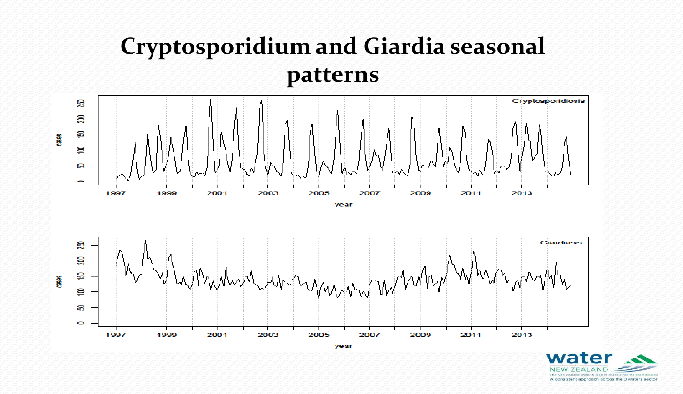## **Cryptosporidium and Giardia seasonal patterns**







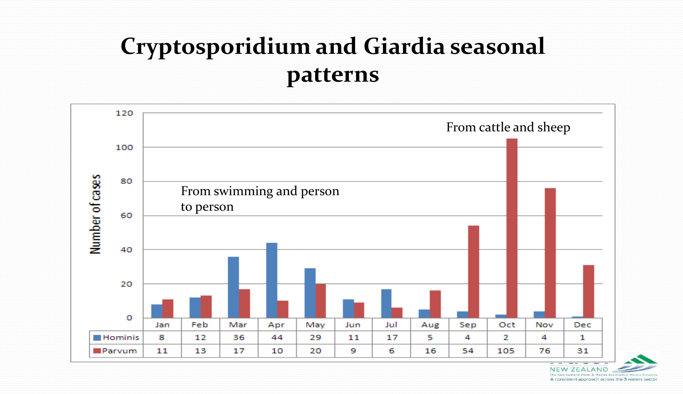## **Cryptosporidium and Giardia seasonal patterns**



**NEW ZEALAND** The New Zealand Water & Waster Association A consistent approach across the 3 waters sector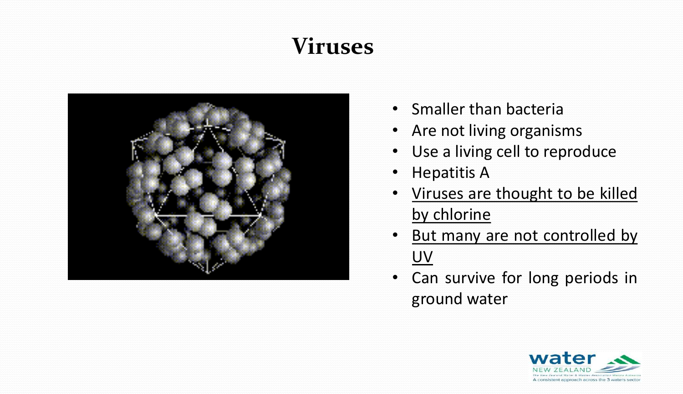## **Viruses**



- Smaller than bacteria
- Are not living organisms
- Use a living cell to reproduce
- Hepatitis A
- Viruses are thought to be killed by chlorine
- But many are not controlled by UV
- Can survive for long periods in ground water

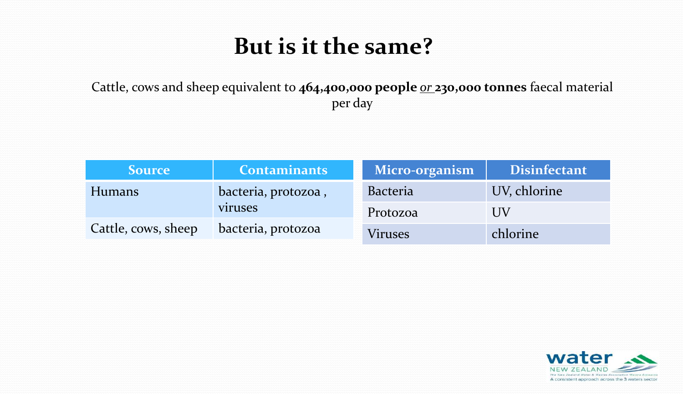#### **But is it the same?**

Cattle, cows and sheep equivalent to **464,400,000 people** *or* **230,000 tonnes** faecal material per day

| <i><b>Source</b></i> | <b>Contaminants</b> | <b>Micro-organism</b> | <b>Disinfectant</b> |
|----------------------|---------------------|-----------------------|---------------------|
| Humans               | bacteria, protozoa, | <b>Bacteria</b>       | UV, chlorine        |
| viruses              |                     | Protozoa              | UV                  |
| Cattle, cows, sheep  | bacteria, protozoa  | <b>Viruses</b>        | chlorine            |

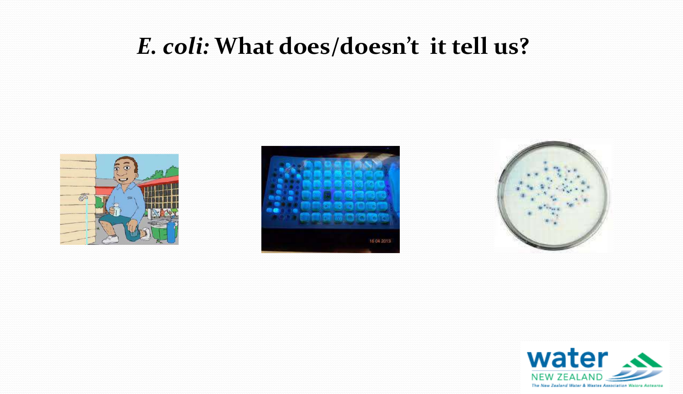#### *E. coli:* **What does/doesn't it tell us?**







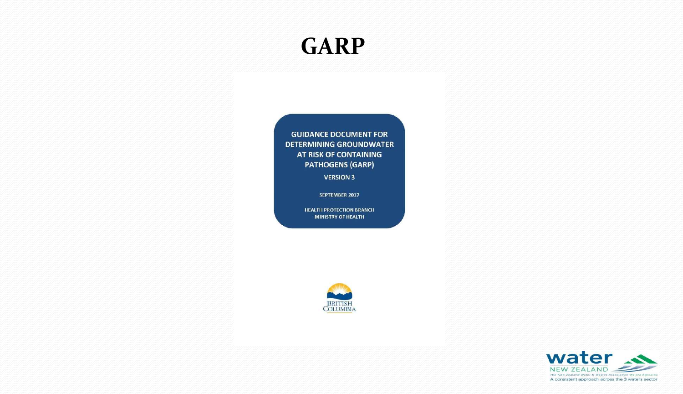#### **GARP**

**GUIDANCE DOCUMENT FOR DETERMINING GROUNDWATER AT RISK OF CONTAINING PATHOGENS (GARP)** 

**VERSION 3** 

SEPTEMBER 2017

**HEALTH PROTECTION BRANCH MINISTRY OF HEALTH** 



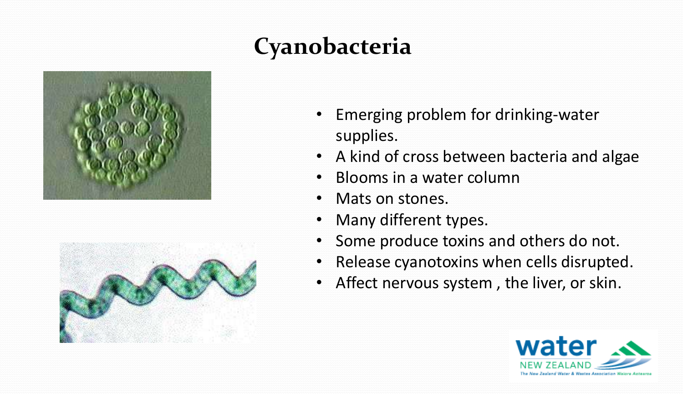

# **Cyanobacteria**

- Emerging problem for drinking-water supplies.
- A kind of cross between bacteria and algae
- Blooms in a water column
- Mats on stones.
- Many different types.
- Some produce toxins and others do not.
- Release cyanotoxins when cells disrupted.
- Affect nervous system , the liver, or skin.

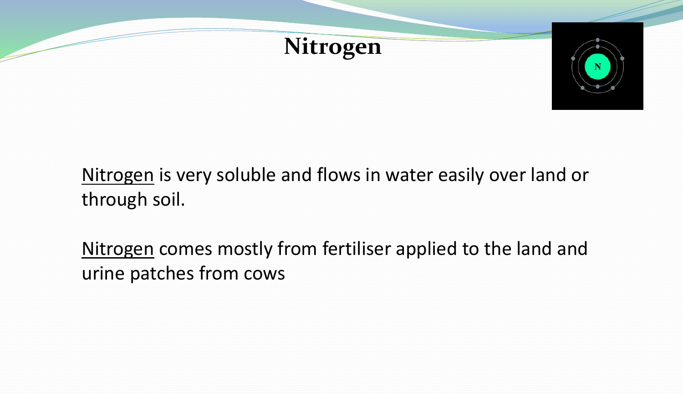



#### Nitrogen is very soluble and flows in water easily over land or through soil.

Nitrogen comes mostly from fertiliser applied to the land and urine patches from cows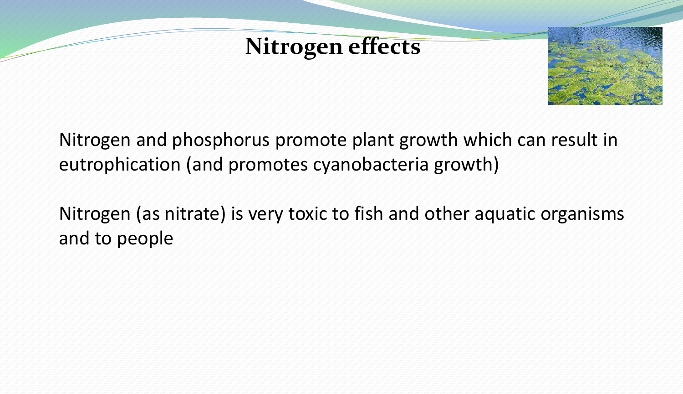#### **Nitrogen effects**



Nitrogen and phosphorus promote plant growth which can result in eutrophication (and promotes cyanobacteria growth)

Nitrogen (as nitrate) is very toxic to fish and other aquatic organisms and to people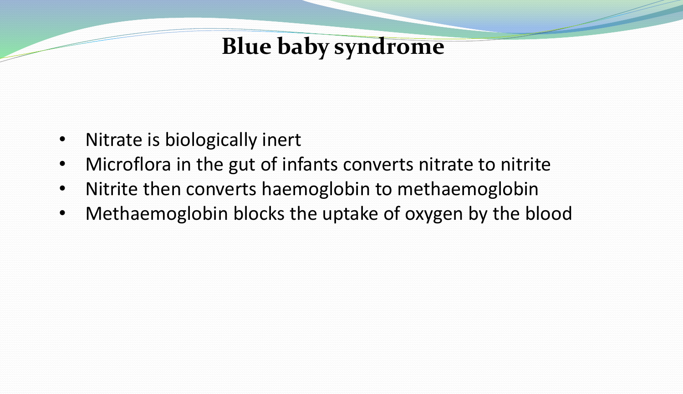#### **Blue baby syndrome**

- Nitrate is biologically inert
- Microflora in the gut of infants converts nitrate to nitrite
- Nitrite then converts haemoglobin to methaemoglobin
- Methaemoglobin blocks the uptake of oxygen by the blood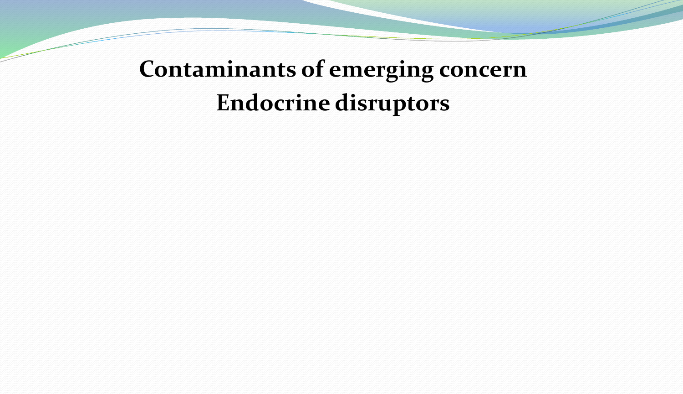# **Contaminants of emerging concern Endocrine disruptors**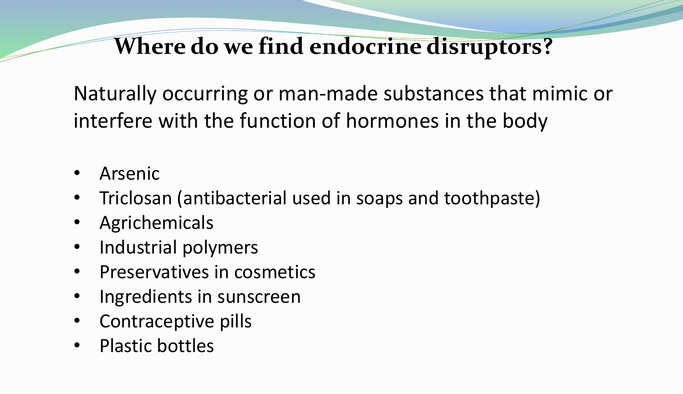#### **Where do we find endocrine disruptors?**

Naturally occurring or man-made substances that mimic or interfere with the function of hormones in the body

- **Arsenic**
- Triclosan (antibacterial used in soaps and toothpaste)
- **Agrichemicals**
- Industrial polymers
- Preservatives in cosmetics
- Ingredients in sunscreen
- Contraceptive pills
- Plastic bottles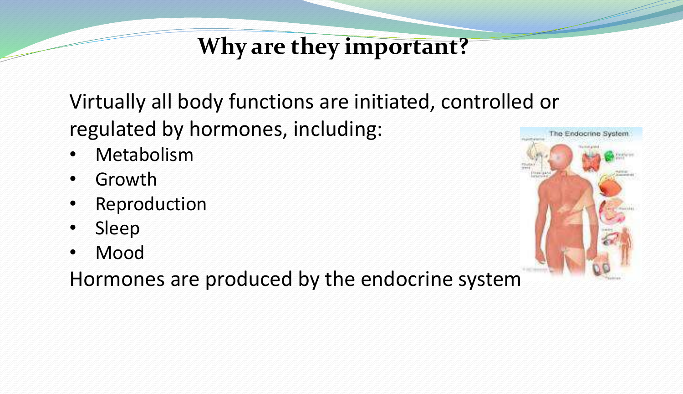## **Why are they important?**

Virtually all body functions are initiated, controlled or regulated by hormones, including:

- **Metabolism**
- **Growth**
- **Reproduction**
- Sleep
- Mood

Hormones are produced by the endocrine system

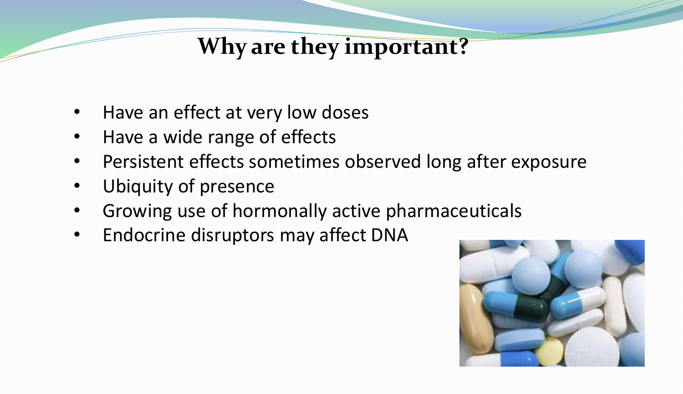## **Why are they important?**

- Have an effect at very low doses
- Have a wide range of effects
- Persistent effects sometimes observed long after exposure
- Ubiquity of presence
- Growing use of hormonally active pharmaceuticals
- Endocrine disruptors may affect DNA

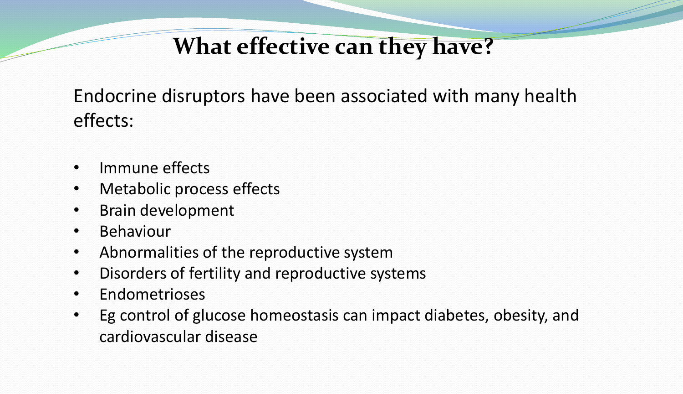## **What effective can they have?**

Endocrine disruptors have been associated with many health effects:

- Immune effects
- Metabolic process effects
- Brain development
- Behaviour
- Abnormalities of the reproductive system
- Disorders of fertility and reproductive systems
- Endometrioses
- Eg control of glucose homeostasis can impact diabetes, obesity, and cardiovascular disease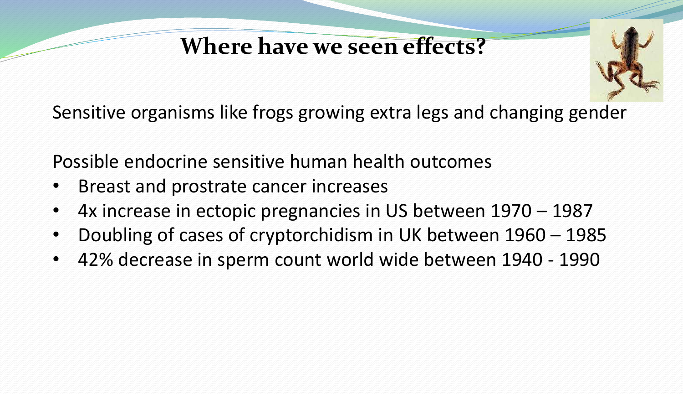## **Where have we seen effects?**



Sensitive organisms like frogs growing extra legs and changing gender

Possible endocrine sensitive human health outcomes

- Breast and prostrate cancer increases
- 4x increase in ectopic pregnancies in US between 1970 1987
- Doubling of cases of cryptorchidism in UK between 1960 1985
- 42% decrease in sperm count world wide between 1940 1990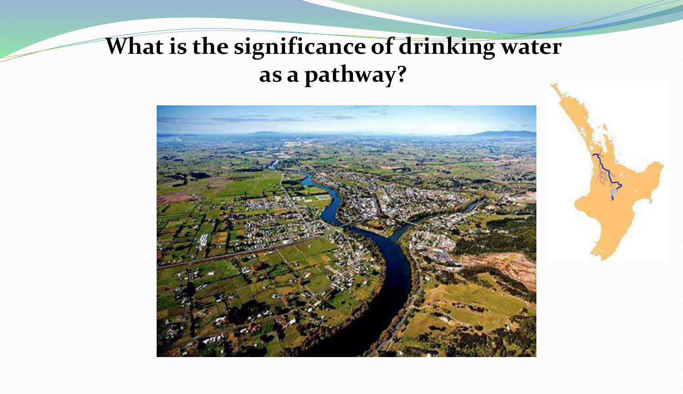## **What is the significance of drinking water as a pathway?**